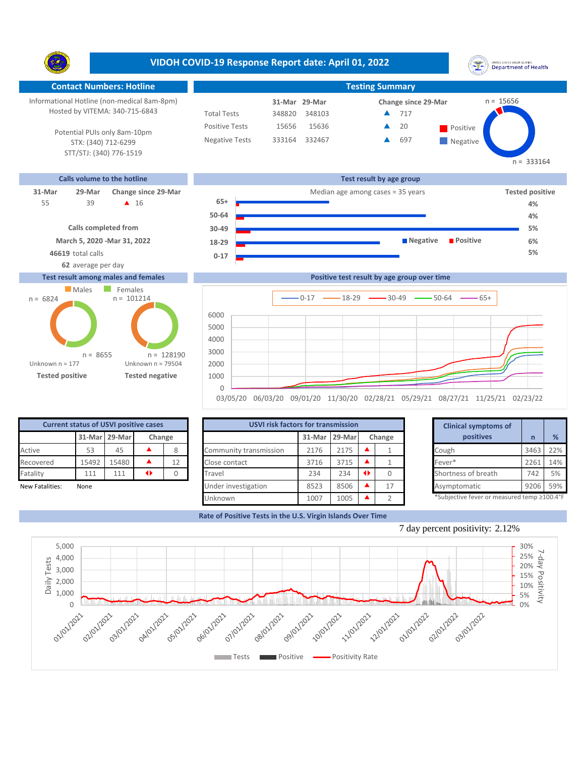**VIDOH COVID-19 Response Report date: April 01, 2022** UNITED STATES VIRGIN SLANDS<br>Department of Health Y. **Contact Numbers: Hotline Testing Summary** Informational Hotline (non-medical 8am-8pm)  $n = 15656$ **31-Mar Change since 29-Mar 29-Mar** Hosted by VITEMA: 340-715-6843 Total Tests 348820 348103 717 ▲ Positive Tests 20 15656 15636  $\triangle$  20 Positive  $\blacktriangle$ Potential PUIs only 8am-10pm Negative Tests 333164 332467 697 ▲ **Negative** STX: (340) 712-6299 STT/STJ: (340) 776-1519  $n = 333164$ **Calls volume to the hotline Test result by age group 31-Mar 29-Mar Change since 29-Mar** Median age among cases = 35 years **Tested positive 65+** 39 **A** 16 55 **4% 50-64 Calls completed from 30-49 Negative Positive** 

**0-17 18-29**

## **March 5, 2020 -Mar 31, 2022**



## **Test result among males and females**



|      | Positive test result by age group over time |  |
|------|---------------------------------------------|--|
|      | $-0.17$ $-18.29$ $-230.49$ $-50.64$ $-65+$  |  |
| 6000 |                                             |  |
| 5000 |                                             |  |
| 4000 |                                             |  |
| 3000 |                                             |  |
| 2000 |                                             |  |
| 1000 |                                             |  |
|      |                                             |  |

03/05/20 06/03/20 09/01/20 11/30/20 02/28/21 05/29/21 08/27/21 11/25/21 02/23/22

| <b>Current status of USVI positive cases</b> |                         |       |  |    |  |  |  |  |  |
|----------------------------------------------|-------------------------|-------|--|----|--|--|--|--|--|
|                                              | 31-Mar 29-Mar<br>Change |       |  |    |  |  |  |  |  |
| Active                                       | 53                      | 45    |  |    |  |  |  |  |  |
| Recovered                                    | 15492                   | 15480 |  | 12 |  |  |  |  |  |
| Fatality                                     | 111                     | 111   |  |    |  |  |  |  |  |
| Nour Fatalitical<br><b>None</b>              |                         |       |  |    |  |  |  |  |  |

|                 | <b>Current status of USVI positive cases</b> |               |                 |      | <b>USVI risk factors for transmission</b> |                                            |               |        | <b>Clinical symptoms of</b> |      |     |
|-----------------|----------------------------------------------|---------------|-----------------|------|-------------------------------------------|--------------------------------------------|---------------|--------|-----------------------------|------|-----|
|                 |                                              | 31-Mar 29-Mar | Change          |      |                                           |                                            | 31-Mar 29-Mar | Change | positives                   |      | %   |
| Active          | 53                                           | 45            |                 |      | Community transmission                    | 2176                                       | 2175          |        | Cough                       | 3463 | 22% |
| Recovered       | 15492                                        | 15480         |                 | 12   | Close contact                             | 3716                                       | 3715          |        | Fever*                      | 2261 | 14% |
| Fatality        | 111                                          | 111           | $\blacklozenge$ |      | Travel                                    | 234                                        | 234           |        | Shortness of breath         | 742  | 5%  |
| New Fatalities: | None                                         |               |                 |      | Under investigation                       | 8523                                       | 8506          | 17     | Asymptomatic                | 9206 | 59% |
|                 |                                              | Unknown       | 1007            | 1005 |                                           | *Subjective fever or measured temp ≥100.4° |               |        |                             |      |     |

|        | for transmission |   |        | <b>Clinical symptoms of</b>                 |      |     |
|--------|------------------|---|--------|---------------------------------------------|------|-----|
| 31-Mar | 29-Mar           |   | Change | positives                                   | n    | %   |
| 2176   | 2175             |   |        | Cough                                       | 3463 | 22% |
| 3716   | 3715             |   |        | Fever*                                      | 2261 | 14% |
| 234    | 234              | ◆ | 0      | Shortness of breath                         | 742  | 5%  |
| 8523   | 8506             |   | 17     | Asymptomatic                                | 9206 | 59% |
| 1007   | 1005             |   |        | *Subjective fever or measured temp >100.4°F |      |     |

**4% 5% 6%**

**Rate of Positive Tests in the U.S. Virgin Islands Over Time**